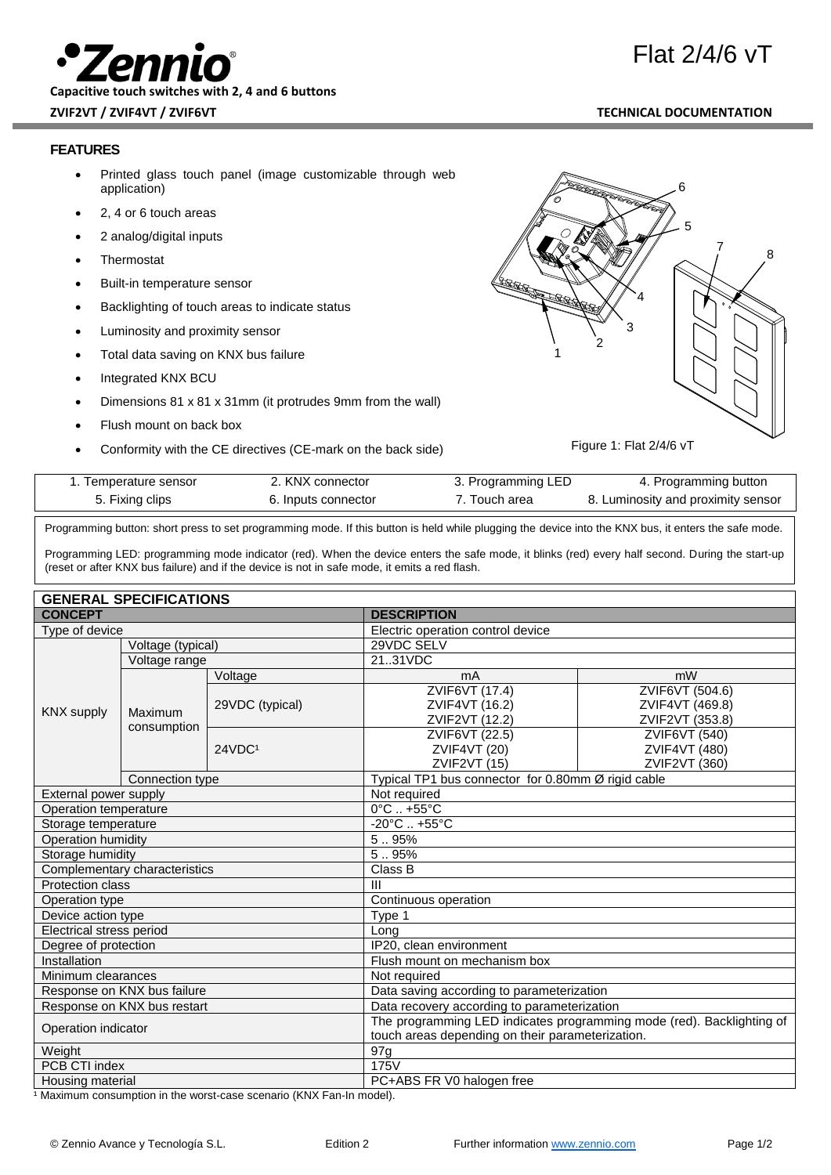**Capacitive touch switches with 2, 4 and 6 buttons**

**ZVIF2VT / ZVIF4VT / ZVIF6VT TECHNICAL DOCUMENTATION**

# **FEATURES**

- Printed glass touch panel (image customizable through web application)
- 2, 4 or 6 touch areas
- 2 analog/digital inputs
- **Thermostat**
- Built-in temperature sensor
- Backlighting of touch areas to indicate status
- Luminosity and proximity sensor
- Total data saving on KNX bus failure
- Integrated KNX BCU
- Dimensions 81 x 81 x 31mm (it protrudes 9mm from the wall)
- Flush mount on back box
- Conformity with the CE directives (CE-mark on the back side)



Figure 1: Flat 2/4/6 vT

| I emperature sensor | ∠. KNX connector    | 3. Programming LED | 4. Programming button              |
|---------------------|---------------------|--------------------|------------------------------------|
| 5. Fixing clips     | 6. Inputs connector | 'Touch area        | 8. Luminosity and proximity sensor |
|                     |                     |                    |                                    |

Programming button: short press to set programming mode. If this button is held while plugging the device into the KNX bus, it enters the safe mode.

Programming LED: programming mode indicator (red). When the device enters the safe mode, it blinks (red) every half second. During the start-up (reset or after KNX bus failure) and if the device is not in safe mode, it emits a red flash.

| <b>GENERAL SPECIFICATIONS</b> |  |
|-------------------------------|--|
|                               |  |

| <b>CONCEPT</b>                |                   | <b>DESCRIPTION</b>                                                    |                                                    |                                 |  |  |
|-------------------------------|-------------------|-----------------------------------------------------------------------|----------------------------------------------------|---------------------------------|--|--|
| Type of device                |                   | Electric operation control device                                     |                                                    |                                 |  |  |
|                               | Voltage (typical) |                                                                       | 29VDC SELV                                         |                                 |  |  |
| <b>KNX</b> supply             | Voltage range     |                                                                       | 2131VDC                                            |                                 |  |  |
|                               |                   | Voltage                                                               | mA                                                 | mW                              |  |  |
|                               |                   | 29VDC (typical)                                                       | ZVIF6VT (17.4)                                     | ZVIF6VT (504.6)                 |  |  |
|                               |                   |                                                                       | ZVIF4VT (16.2)                                     | ZVIF4VT (469.8)                 |  |  |
|                               | Maximum           |                                                                       | ZVIF2VT (12.2)                                     | ZVIF2VT (353.8)                 |  |  |
|                               | consumption       | 24VDC <sup>1</sup>                                                    | ZVIF6VT (22.5)                                     | ZVIF6VT (540)                   |  |  |
|                               |                   |                                                                       | <b>ZVIF4VT (20)</b>                                | ZVIF4VT (480)                   |  |  |
|                               |                   |                                                                       | ZVIF2VT <sub>(15)</sub>                            | ZVIF2VT (360)                   |  |  |
|                               | Connection type   |                                                                       | Typical TP1 bus connector for 0.80mm Ø rigid cable |                                 |  |  |
| External power supply         |                   |                                                                       |                                                    | Not required                    |  |  |
| Operation temperature         |                   |                                                                       |                                                    | $0^{\circ}$ C $. +55^{\circ}$ C |  |  |
| Storage temperature           |                   |                                                                       | $-20^{\circ}$ C  +55°C                             |                                 |  |  |
| Operation humidity            |                   |                                                                       | 5.95%                                              |                                 |  |  |
| Storage humidity              |                   |                                                                       | 5.95%                                              |                                 |  |  |
| Complementary characteristics |                   | Class B                                                               |                                                    |                                 |  |  |
| Protection class              |                   | $\mathbf{III}$                                                        |                                                    |                                 |  |  |
| Operation type                |                   |                                                                       | Continuous operation                               |                                 |  |  |
| Device action type            |                   | Type 1                                                                |                                                    |                                 |  |  |
| Electrical stress period      |                   | Long                                                                  |                                                    |                                 |  |  |
| Degree of protection          |                   | IP20, clean environment                                               |                                                    |                                 |  |  |
| Installation                  |                   | Flush mount on mechanism box                                          |                                                    |                                 |  |  |
| Minimum clearances            |                   | Not required                                                          |                                                    |                                 |  |  |
| Response on KNX bus failure   |                   | Data saving according to parameterization                             |                                                    |                                 |  |  |
| Response on KNX bus restart   |                   | Data recovery according to parameterization                           |                                                    |                                 |  |  |
| Operation indicator           |                   | The programming LED indicates programming mode (red). Backlighting of |                                                    |                                 |  |  |
|                               |                   | touch areas depending on their parameterization.                      |                                                    |                                 |  |  |
| Weight                        |                   | 97 <sub>q</sub>                                                       |                                                    |                                 |  |  |
| PCB CTI index                 |                   | 175V                                                                  |                                                    |                                 |  |  |
| Housing material              |                   | PC+ABS FR V0 halogen free                                             |                                                    |                                 |  |  |

<sup>1</sup> Maximum consumption in the worst-case scenario (KNX Fan-In model).